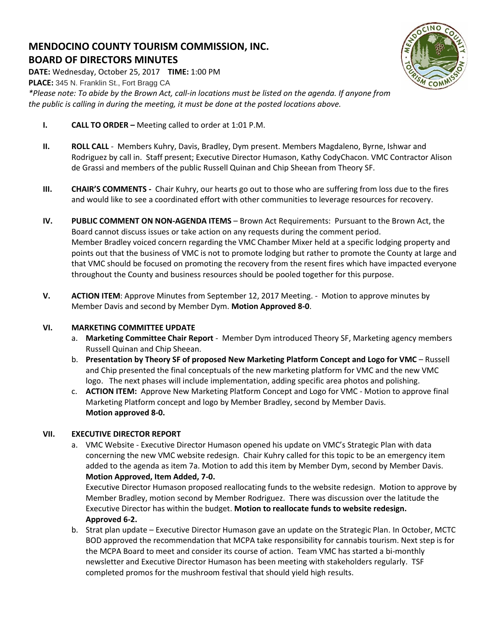# **MENDOCINO COUNTY TOURISM COMMISSION, INC. BOARD OF DIRECTORS MINUTES**

**DATE:** Wednesday, October 25, 2017 **TIME:** 1:00 PM **PLACE:** 345 N. Franklin St., Fort Bragg CA *\*Please note: To abide by the Brown Act, call-in locations must be listed on the agenda. If anyone from the public is calling in during the meeting, it must be done at the posted locations above.*

- **I. CALL TO ORDER –** Meeting called to order at 1:01 P.M.
- **II. ROLL CALL**  Members Kuhry, Davis, Bradley, Dym present. Members Magdaleno, Byrne, Ishwar and Rodriguez by call in. Staff present; Executive Director Humason, Kathy CodyChacon. VMC Contractor Alison de Grassi and members of the public Russell Quinan and Chip Sheean from Theory SF.
- **III. CHAIR'S COMMENTS** Chair Kuhry, our hearts go out to those who are suffering from loss due to the fires and would like to see a coordinated effort with other communities to leverage resources for recovery.
- **IV. PUBLIC COMMENT ON NON-AGENDA ITEMS** Brown Act Requirements: Pursuant to the Brown Act, the Board cannot discuss issues or take action on any requests during the comment period. Member Bradley voiced concern regarding the VMC Chamber Mixer held at a specific lodging property and points out that the business of VMC is not to promote lodging but rather to promote the County at large and that VMC should be focused on promoting the recovery from the resent fires which have impacted everyone throughout the County and business resources should be pooled together for this purpose.
- **V. ACTION ITEM**: Approve Minutes from September 12, 2017 Meeting. Motion to approve minutes by Member Davis and second by Member Dym. **Motion Approved 8-0**.

# **VI. MARKETING COMMITTEE UPDATE**

- a. **Marketing Committee Chair Report** Member Dym introduced Theory SF, Marketing agency members Russell Quinan and Chip Sheean.
- b. **Presentation by Theory SF of proposed New Marketing Platform Concept and Logo for VMC** Russell and Chip presented the final conceptuals of the new marketing platform for VMC and the new VMC logo. The next phases will include implementation, adding specific area photos and polishing.
- c. **ACTION ITEM:** Approve New Marketing Platform Concept and Logo for VMC Motion to approve final Marketing Platform concept and logo by Member Bradley, second by Member Davis. **Motion approved 8-0.**

### **VII. EXECUTIVE DIRECTOR REPORT**

a. VMC Website - Executive Director Humason opened his update on VMC's Strategic Plan with data concerning the new VMC website redesign. Chair Kuhry called for this topic to be an emergency item added to the agenda as item 7a. Motion to add this item by Member Dym, second by Member Davis. **Motion Approved, Item Added, 7-0.** 

Executive Director Humason proposed reallocating funds to the website redesign. Motion to approve by Member Bradley, motion second by Member Rodriguez. There was discussion over the latitude the Executive Director has within the budget. **Motion to reallocate funds to website redesign. Approved 6-2.**

b. Strat plan update – Executive Director Humason gave an update on the Strategic Plan. In October, MCTC BOD approved the recommendation that MCPA take responsibility for cannabis tourism. Next step is for the MCPA Board to meet and consider its course of action. Team VMC has started a bi-monthly newsletter and Executive Director Humason has been meeting with stakeholders regularly. TSF completed promos for the mushroom festival that should yield high results.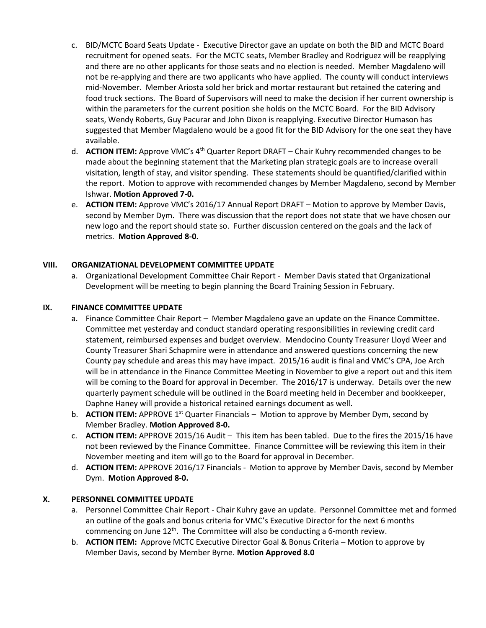- c. BID/MCTC Board Seats Update Executive Director gave an update on both the BID and MCTC Board recruitment for opened seats. For the MCTC seats, Member Bradley and Rodriguez will be reapplying and there are no other applicants for those seats and no election is needed. Member Magdaleno will not be re-applying and there are two applicants who have applied. The county will conduct interviews mid-November. Member Ariosta sold her brick and mortar restaurant but retained the catering and food truck sections. The Board of Supervisors will need to make the decision if her current ownership is within the parameters for the current position she holds on the MCTC Board. For the BID Advisory seats, Wendy Roberts, Guy Pacurar and John Dixon is reapplying. Executive Director Humason has suggested that Member Magdaleno would be a good fit for the BID Advisory for the one seat they have available.
- d. **ACTION ITEM:** Approve VMC's 4th Quarter Report DRAFT Chair Kuhry recommended changes to be made about the beginning statement that the Marketing plan strategic goals are to increase overall visitation, length of stay, and visitor spending. These statements should be quantified/clarified within the report. Motion to approve with recommended changes by Member Magdaleno, second by Member Ishwar. **Motion Approved 7-0.**
- e. **ACTION ITEM:** Approve VMC's 2016/17 Annual Report DRAFT Motion to approve by Member Davis, second by Member Dym.There was discussion that the report does not state that we have chosen our new logo and the report should state so. Further discussion centered on the goals and the lack of metrics. **Motion Approved 8-0.**

## **VIII. ORGANIZATIONAL DEVELOPMENT COMMITTEE UPDATE**

a. Organizational Development Committee Chair Report - Member Davis stated that Organizational Development will be meeting to begin planning the Board Training Session in February.

### **IX. FINANCE COMMITTEE UPDATE**

- a. Finance Committee Chair Report Member Magdaleno gave an update on the Finance Committee. Committee met yesterday and conduct standard operating responsibilities in reviewing credit card statement, reimbursed expenses and budget overview. Mendocino County Treasurer Lloyd Weer and County Treasurer Shari Schapmire were in attendance and answered questions concerning the new County pay schedule and areas this may have impact. 2015/16 audit is final and VMC's CPA, Joe Arch will be in attendance in the Finance Committee Meeting in November to give a report out and this item will be coming to the Board for approval in December. The 2016/17 is underway. Details over the new quarterly payment schedule will be outlined in the Board meeting held in December and bookkeeper, Daphne Haney will provide a historical retained earnings document as well.
- b. **ACTION ITEM:** APPROVE 1<sup>st</sup> Quarter Financials Motion to approve by Member Dym, second by Member Bradley. **Motion Approved 8-0.**
- c. **ACTION ITEM:** APPROVE 2015/16 Audit This item has been tabled. Due to the fires the 2015/16 have not been reviewed by the Finance Committee. Finance Committee will be reviewing this item in their November meeting and item will go to the Board for approval in December.
- d. **ACTION ITEM:** APPROVE 2016/17 Financials Motion to approve by Member Davis, second by Member Dym. **Motion Approved 8-0.**

### **X. PERSONNEL COMMITTEE UPDATE**

- a. Personnel Committee Chair Report Chair Kuhry gave an update. Personnel Committee met and formed an outline of the goals and bonus criteria for VMC's Executive Director for the next 6 months commencing on June  $12^{th}$ . The Committee will also be conducting a 6-month review.
- b. **ACTION ITEM:** Approve MCTC Executive Director Goal & Bonus Criteria Motion to approve by Member Davis, second by Member Byrne. **Motion Approved 8.0**